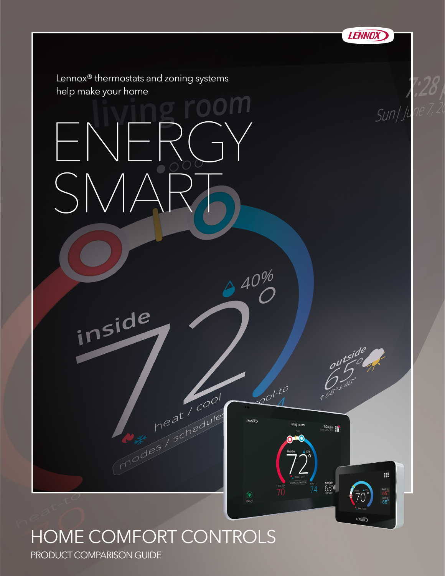

#### HOME COMFORT CONTROLS

PRODUCT COMPARISON GUIDE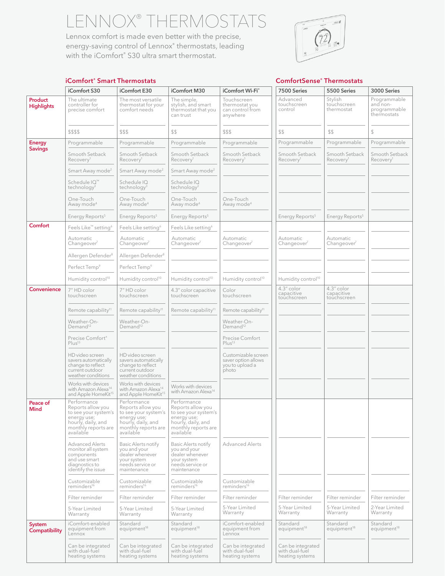ENNOX® THERMOSTAT

Lennox comfort is made even better with the precise, energy-saving control of Lennox® thermostats, leading with the iComfort® S30 ultra smart thermostat.



#### iComfort S30 iComfort E30 iComfort M30 iComfort Wi-Fi® 17500 Series 35500 Series iHarmony III® Harmony III® Ha Product **Highlights** The ultimate controller for precise comfort The most versatile thermostat for your comfort needs The simple, stylish, and smart thermostat that you can trust Touchscreen thermostat you can control from anywhere Advanced touchscreen control Stylish touchscreen thermostat Programmable and nonprogrammable thermostats \$\$\$\$ \$\$\$ \$\$ \$\$\$ \$\$ \$\$ \$ \$\$\$ \$\$ \$ \$ Energy Savings Programmable Programmable Programmable Programmable Programmable Programmable Programmable Automatic Changeove Smooth Setback Recovery Smooth Setback Recovery Smooth Setback Recovery Smooth Setback Recovery Smooth Setback Recovery Smooth Setback Recovery Smooth Setback Recovery Smart Away mode<sup>2</sup> Smart Away mode<sup>2</sup> Smart Away mode<sup>2</sup> Schedule IQ™ technology<sup>3</sup> Schedule IQ technology3 Schedule IQ technology<sup>3</sup> One-Touch Away mode<sup>4</sup> One-Touch Away mode<sup>4</sup> One-Touch Away mode<sup>4</sup> One-Touch Away mode<sup>4</sup> Energy Reports<sup>5</sup> Energy Reports<sup>5</sup> Energy Reports<sup>5</sup> Energy Reports<sup>5</sup> Energy Reports<sup>5</sup> Energy Reports<sup>5</sup> **Comfort** Feels Like™ setting<sup>6</sup> Feels Like setting<sup>6</sup> Feels Like setting<sup>6</sup> Compatible with the with the with the with the with the with the with the with the with the with the with the with the with the with the with th Automatic | Automatic | Automatic | Automatic | Automatic | Automatic | Automatic Changeover Automatic Changeover<sup>7</sup> Automatic Changeover Automatic Changeover<sup>7</sup> Automatic Changeover<sup>7</sup> Automatic Changeover Allergen Defender<sup>8</sup> Allergen Defender<sup>8</sup> Perfect Temp<sup>9</sup> Perfect Temp<sup>9</sup> Humidity control<sup>10</sup> Humidity control<sup>10</sup> Humidity control<sup>10</sup> Humidity control<sup>10</sup> Humidity control<sup>10</sup> Convenience 7" HD color touchscreen 7" HD color touchscreen 4.3" color capacitive touchscreen Color touchscreen 4.3" color capacitive touchscreen 4.3" color capacitive touchscreen Remote capability<sup>11</sup> Remote capability<sup>11</sup> Remote capability<sup>11</sup> Remote capability<sup>11</sup> Weather-On-Demand<sup>12</sup> Weather-On-Demand<sup>12</sup> Weather-On-Demand<sup>12</sup> Precise Comfort® Plus<sup>13</sup> Precise Comfort  $Plus<sup>13</sup>$ HD video screen savers automatically change to reflect current outdoor weather conditions HD video screen savers automatically change to reflect current outdoor weather conditions Customizable screen saver option allows you to upload a photo Works with devices with Amazon Alexa<sup>14</sup><br>and Apple HomeKit<sup>15</sup> Works with devices with Amazon Alexa<sup>14</sup><br>and Apple HomeKit<sup>15</sup> Works with devices<br>with Amazon Alexa<sup>14</sup> Peace of Mind Performance Reports allow you to see your system's energy use; hourly, daily, and monthly reports are available Performance Reports allow you to see your system's energy use; hourly, daily, and monthly reports are available Performance Reports allow you to see your system's energy use; hourly, daily, and monthly reports are available Advanced Alerts monitor all system components and use smart diagnostics to identify the issue Basic Alerts notify you and your dealer whenever your system needs service or maintenance Basic Alerts notify you and your dealer whenever your system needs service or maintenance Advanced Alerts Customizable<br>reminders<sup>16</sup> Customizable<br>reminders<sup>16</sup> Customizable<br>reminders<sup>16</sup> Customizable<br>reminders<sup>16</sup> Filter reminder Filter reminder Filter reminder Filter reminder Filter reminder Filter reminder Filter reminder 5-Year Limited Warranty 5-Year Limited Warranty 5-Year Limited Warranty 5-Year Limited Warranty 5-Year Limited Warranty 5-Year Limited **Warranty** 2-Year Limited Warranty System **Compatibility** iComfort-enabled equipment from Lennox Standard equipment<sup>18</sup> Standard equipment<sup>18</sup> iComfort-enabled equipment from Lennox **Standard** equipment<sup>18</sup> Standard equipment<sup>18</sup> **Standard** equipment<sup>18</sup> Can be integrated with dual-fuel Can be integrated with dual-fuel Can be integrated Can be integrated with dual-fuel Can be integrated

#### iComfort® Smart Thermostats ComfortSense® Thermostats ComfortSense® Thermostats

heating systems

heating systems

with dual-fuel heating systems

heating systems

with dual-fuel heating systems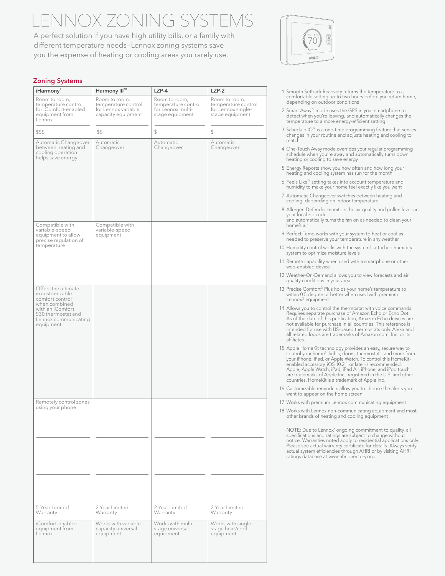## NNOX ZONING SYST

A perfect solution if you have high utility bills, or a family with different temperature needs—Lennox zoning systems save you the expense of heating or cooling areas you rarely use.



|        | iHarmony <sup>®</sup>                                                                                                                                     | Harmony III™                                                                      | $LZP-4$                                                                      | $LZP-2$                                                                       |
|--------|-----------------------------------------------------------------------------------------------------------------------------------------------------------|-----------------------------------------------------------------------------------|------------------------------------------------------------------------------|-------------------------------------------------------------------------------|
| Lennox | Room to room,<br>temperature control<br>for iComfort-enabled<br>equipment from                                                                            | Room to room,<br>temperature control<br>for Lennox variable<br>capacity equipment | Room to room,<br>temperature control<br>for Lennox multi-<br>stage equipment | Room to room,<br>temperature control<br>for Lennox single-<br>stage equipment |
| \$\$\$ |                                                                                                                                                           | \$\$                                                                              | $\mathbb{S}$                                                                 | $\mathbb{S}$                                                                  |
|        | Automatic Changeover<br>between heating and<br>cooling operation<br>helps save energy                                                                     | Automatic<br>Changeover                                                           | Automatic<br>Changeover                                                      | Automatic<br>Changeover                                                       |
|        | Compatible with<br>variable-speed<br>equipment to allow<br>precise regulation of<br>temperature                                                           | Compatible with<br>variable-speed<br>equipment                                    |                                                                              |                                                                               |
|        | Offers the ultimate<br>Forms are an<br>incustomizable<br>comfort control<br>with an iComfort<br>S30 thermostat and<br>Lennox communicating<br>  equipment |                                                                                   |                                                                              |                                                                               |
|        | Remotely control zones                                                                                                                                    |                                                                                   |                                                                              |                                                                               |
|        |                                                                                                                                                           |                                                                                   |                                                                              |                                                                               |
|        |                                                                                                                                                           |                                                                                   |                                                                              |                                                                               |
|        | 5-Year Limited<br>Warranty                                                                                                                                | 2-Year Limited<br>Warranty                                                        | 2-Year Limited<br>Warranty                                                   | 2-Year Limited<br>Warranty                                                    |
|        | iComfort-enabled<br>equipment from<br>Lennox                                                                                                              | Works with variable<br>capacity universal                                         | Works with multi-<br>stage universal<br>equipment                            | Works with single-<br>stage heat/cool<br>equipment                            |



- 1 Smooth Setback Recovery returns the temperature to a comfortable setting up to two hours before you return home, depending on outdoor conditions
- 2 Smart Away™ mode uses the GPS in your smartphone to detect when you're leaving, and automatically changes the temperature to a more energy-efficient setting
- 3 Schedule IQ™ is a one-time programming feature that senses changes in your routine and adjusts heating and cooling to match
- 4 One-Touch Away mode overrides your regular programming schedule when you're away and automatically turns down heating or cooling to save energy
- 5 Energy Reports show you how often and how long your heating and cooling system has run for the month
- 6 Feels Like™ setting takes into account temperature and humidity to make your home feel exactly like you want
- 7 Automatic Changeover switches between heating and cooling, depending on indoor temperature
- 8 Allergen Defender monitors the air quality and pollen levels in your local zip code and automatically turns the fan on as needed to clean your home's air
- 9 Perfect Temp works with your system to heat or cool as needed to preserve your temperature in any weather
- 10 Humidity control works with the system's attached humidity system to optimize moisture levels
- 11 Remote capability when used with a smartphone or other web-enabled device
- 12 Weather-On-Demand allows you to view forecasts and air quality conditions in your area
- 13 Precise Comfort® Plus holds your home's temperature to within 0.5 degree or better when used with premium Lennox® equipment
- 14 Allows you to control the thermostat with voice commands. Requires separate purchase of Amazon Echo or Echo Dot. As of the date of this publication, Amazon Echo devices are not available for purchase in all countries. This reference is intended for use with US-based thermostats only. Alexa and all related logos are trademarks of Amazon.com, Inc. or its affiliates.
- 15 Apple HomeKit technology provides an easy, secure way to control your home's lights, doors, thermostats, and more from your iPhone, iPad, or Apple Watch. To control this HomeKitenabled accessory, iOS 10.2.1 or later is recommended. Apple, Apple Watch, iPad, iPad Air, iPhone, and iPod touch are trademarks of Apple Inc., registered in the U.S. and other countries. HomeKit is a trademark of Apple Inc.
- 16 Customizable reminders allow you to choose the alerts you want to appear on the home screen
- 17 Works with premium Lennox communicating equipment
- 18 Works with Lennox non-communicating equipment and most other brands of heating and cooling equipment

 NOTE: Due to Lennox' ongoing commitment to quality, all specifications and ratings are subject to change without notice. Warranties noted apply to residential applications only. Please see actual warranty certificate for details. Always verify actual system efficiencies through AHRI or by visiting AHRI ratings database at www.ahridirectory.org.